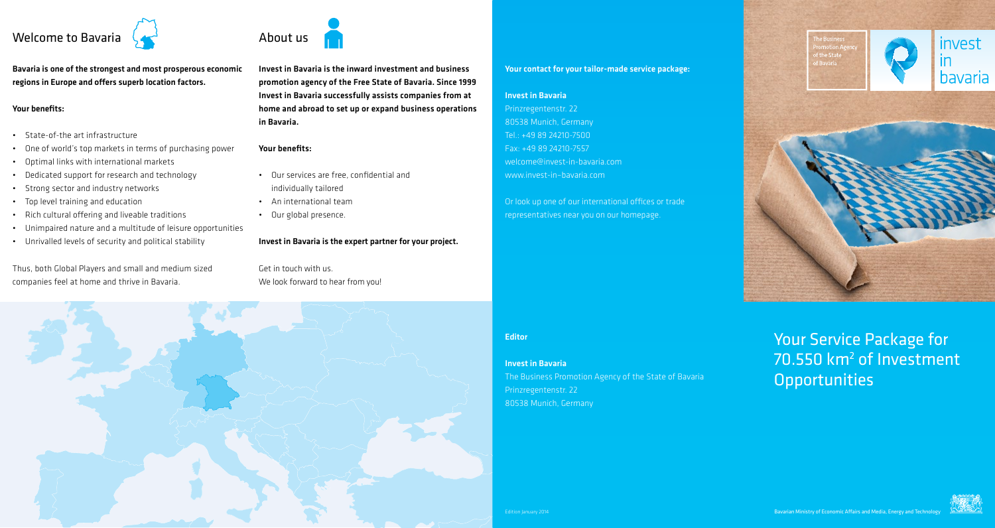

Bavaria is one of the strongest and most prosperous economic regions in Europe and offers superb location factors.

### Your benefits:

- • State-of-the art infrastructure
- • One of world's top markets in terms of purchasing power
- • Optimal links with international markets
- • Dedicated support for research and technology
- • Strong sector and industry networks
- • Top level training and education
- • Rich cultural offering and liveable traditions
- • Unimpaired nature and a multitude of leisure opportunities
- • Unrivalled levels of security and political stability

Thus, both Global Players and small and medium sized companies feel at home and thrive in Bavaria.



Invest in Bavaria is the inward investment and business promotion agency of the Free State of Bavaria. Since 1999 Invest in Bavaria successfully assists companies from at home and abroad to set up or expand business operations in Bavaria.

## Your benefits:

- • Our services are free, confidential and individually tailored
- • An international team
- • Our global presence.
- Invest in Bavaria is the expert partner for your project.

Get in touch with us. We look forward to hear from you!



## Your contact for your tailor-made service package:

## Invest in Bavaria

Prinzregentenstr. 22 80538 Munich, Germany Tel.: +49 89 24210-7500 Fax: +49 89 24210-7557 welcome@invest-in-bavaria.com www.invest-in–bavaria.com

Or look up one of our international offices or trade representatives near you on our homepage.

Editor

# Invest in Bavaria

The Business Promotion Agency of the State of Bavaria Prinzregentenstr. 22 80538 Munich, Germany



Your Service Package for 70.550 km<sup>2</sup> of Investment **Opportunities**